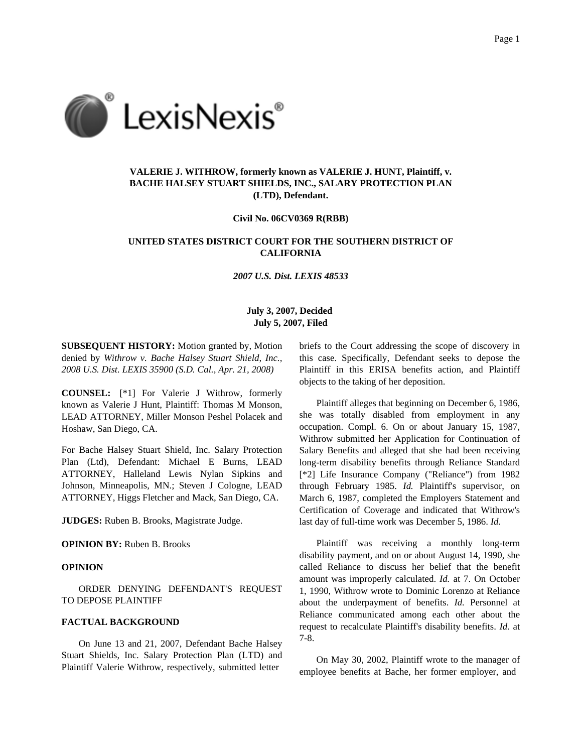

# **VALERIE J. WITHROW, formerly known as VALERIE J. HUNT, Plaintiff, v. BACHE HALSEY STUART SHIELDS, INC., SALARY PROTECTION PLAN (LTD), Defendant.**

**Civil No. 06CV0369 R(RBB)**

## **UNITED STATES DISTRICT COURT FOR THE SOUTHERN DISTRICT OF CALIFORNIA**

*2007 U.S. Dist. LEXIS 48533*

## **July 3, 2007, Decided July 5, 2007, Filed**

**SUBSEQUENT HISTORY:** Motion granted by, Motion denied by *Withrow v. Bache Halsey Stuart Shield, Inc., 2008 U.S. Dist. LEXIS 35900 (S.D. Cal., Apr. 21, 2008)*

**COUNSEL:** [\*1] For Valerie J Withrow, formerly known as Valerie J Hunt, Plaintiff: Thomas M Monson, LEAD ATTORNEY, Miller Monson Peshel Polacek and Hoshaw, San Diego, CA.

For Bache Halsey Stuart Shield, Inc. Salary Protection Plan (Ltd), Defendant: Michael E Burns, LEAD ATTORNEY, Halleland Lewis Nylan Sipkins and Johnson, Minneapolis, MN.; Steven J Cologne, LEAD ATTORNEY, Higgs Fletcher and Mack, San Diego, CA.

**JUDGES:** Ruben B. Brooks, Magistrate Judge.

### **OPINION BY:** Ruben B. Brooks

### **OPINION**

ORDER DENYING DEFENDANT'S REQUEST TO DEPOSE PLAINTIFF

#### **FACTUAL BACKGROUND**

On June 13 and 21, 2007, Defendant Bache Halsey Stuart Shields, Inc. Salary Protection Plan (LTD) and Plaintiff Valerie Withrow, respectively, submitted letter

briefs to the Court addressing the scope of discovery in this case. Specifically, Defendant seeks to depose the Plaintiff in this ERISA benefits action, and Plaintiff objects to the taking of her deposition.

Plaintiff alleges that beginning on December 6, 1986, she was totally disabled from employment in any occupation. Compl. 6. On or about January 15, 1987, Withrow submitted her Application for Continuation of Salary Benefits and alleged that she had been receiving long-term disability benefits through Reliance Standard [\*2] Life Insurance Company ("Reliance") from 1982 through February 1985. *Id.* Plaintiff's supervisor, on March 6, 1987, completed the Employers Statement and Certification of Coverage and indicated that Withrow's last day of full-time work was December 5, 1986. *Id.*

Plaintiff was receiving a monthly long-term disability payment, and on or about August 14, 1990, she called Reliance to discuss her belief that the benefit amount was improperly calculated. *Id.* at 7. On October 1, 1990, Withrow wrote to Dominic Lorenzo at Reliance about the underpayment of benefits. *Id.* Personnel at Reliance communicated among each other about the request to recalculate Plaintiff's disability benefits. *Id.* at 7-8.

On May 30, 2002, Plaintiff wrote to the manager of employee benefits at Bache, her former employer, and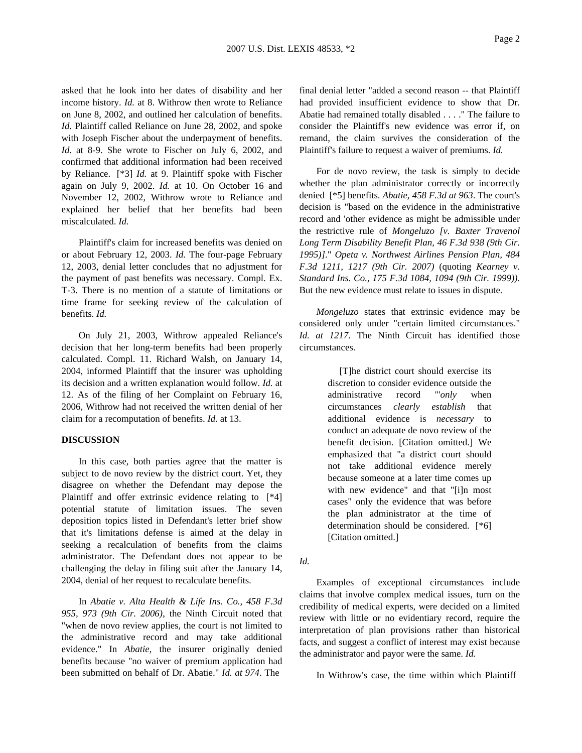asked that he look into her dates of disability and her income history. *Id.* at 8. Withrow then wrote to Reliance on June 8, 2002, and outlined her calculation of benefits. *Id.* Plaintiff called Reliance on June 28, 2002, and spoke with Joseph Fischer about the underpayment of benefits. *Id.* at 8-9. She wrote to Fischer on July 6, 2002, and confirmed that additional information had been received by Reliance. [\*3] *Id.* at 9. Plaintiff spoke with Fischer again on July 9, 2002. *Id.* at 10. On October 16 and November 12, 2002, Withrow wrote to Reliance and explained her belief that her benefits had been miscalculated. *Id.*

Plaintiff's claim for increased benefits was denied on or about February 12, 2003. *Id.* The four-page February 12, 2003, denial letter concludes that no adjustment for the payment of past benefits was necessary. Compl. Ex. T-3. There is no mention of a statute of limitations or time frame for seeking review of the calculation of benefits. *Id.*

On July 21, 2003, Withrow appealed Reliance's decision that her long-term benefits had been properly calculated. Compl. 11. Richard Walsh, on January 14, 2004, informed Plaintiff that the insurer was upholding its decision and a written explanation would follow. *Id.* at 12. As of the filing of her Complaint on February 16, 2006, Withrow had not received the written denial of her claim for a recomputation of benefits. *Id.* at 13.

## **DISCUSSION**

In this case, both parties agree that the matter is subject to de novo review by the district court. Yet, they disagree on whether the Defendant may depose the Plaintiff and offer extrinsic evidence relating to [\*4] potential statute of limitation issues. The seven deposition topics listed in Defendant's letter brief show that it's limitations defense is aimed at the delay in seeking a recalculation of benefits from the claims administrator. The Defendant does not appear to be challenging the delay in filing suit after the January 14, 2004, denial of her request to recalculate benefits.

In *Abatie v. Alta Health & Life Ins. Co., 458 F.3d 955, 973 (9th Cir. 2006)*, the Ninth Circuit noted that "when de novo review applies, the court is not limited to the administrative record and may take additional evidence." In *Abatie,* the insurer originally denied benefits because "no waiver of premium application had been submitted on behalf of Dr. Abatie." *Id. at 974*. The

final denial letter "added a second reason -- that Plaintiff had provided insufficient evidence to show that Dr. Abatie had remained totally disabled . . . ." The failure to consider the Plaintiff's new evidence was error if, on remand, the claim survives the consideration of the Plaintiff's failure to request a waiver of premiums. *Id.*

For de novo review, the task is simply to decide whether the plan administrator correctly or incorrectly denied [\*5] benefits. *Abatie, 458 F.3d at 963*. The court's decision is "based on the evidence in the administrative record and 'other evidence as might be admissible under the restrictive rule of *Mongeluzo [v. Baxter Travenol Long Term Disability Benefit Plan, 46 F.3d 938 (9th Cir. 1995)]*." *Opeta v. Northwest Airlines Pension Plan, 484 F.3d 1211, 1217 (9th Cir. 2007)* (quoting *Kearney v. Standard Ins. Co., 175 F.3d 1084, 1094 (9th Cir. 1999))*. But the new evidence must relate to issues in dispute.

*Mongeluzo* states that extrinsic evidence may be considered only under "certain limited circumstances." *Id. at 1217*. The Ninth Circuit has identified those circumstances.

> [T]he district court should exercise its discretion to consider evidence outside the administrative record "'*only* when circumstances *clearly establish* that additional evidence is *necessary* to conduct an adequate de novo review of the benefit decision. [Citation omitted.] We emphasized that "a district court should not take additional evidence merely because someone at a later time comes up with new evidence" and that "[i]n most cases" only the evidence that was before the plan administrator at the time of determination should be considered. [\*6] [Citation omitted.]

*Id.*

Examples of exceptional circumstances include claims that involve complex medical issues, turn on the credibility of medical experts, were decided on a limited review with little or no evidentiary record, require the interpretation of plan provisions rather than historical facts, and suggest a conflict of interest may exist because the administrator and payor were the same. *Id.*

In Withrow's case, the time within which Plaintiff